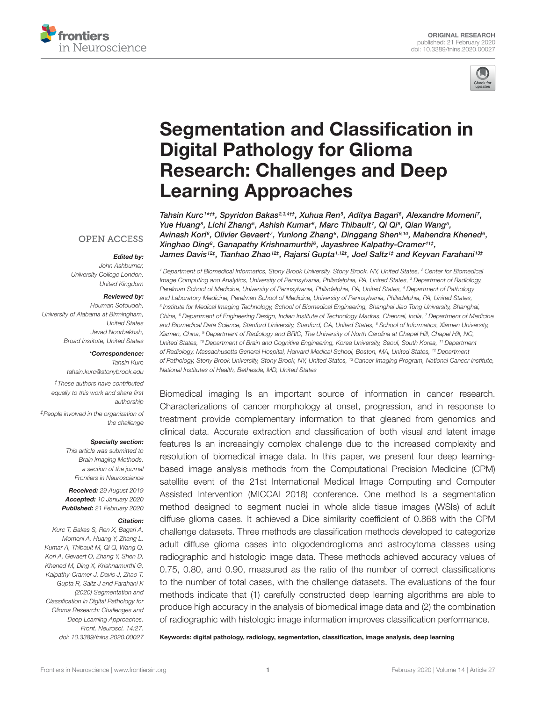



# Segmentation and Classification in Digital Pathology for Glioma Research: Challenges and Deep Learning Approaches

Tahsin Kurc1\*t‡, Spyridon Bakas2,3,4t‡, Xuhua Ren5, Aditya Bagari6, Alexandre Momeni7, Yue Huang<sup>s</sup>, Lichi Zhang<sup>s</sup>, Ashish Kumar<sup>s</sup>, Marc Thibault<sup>7</sup>, Qi Qi<sup>s</sup>, Qian Wang<sup>s</sup>, Avinash Kori<sup>s</sup>, Olivier Gevaert<sup>7</sup>, Yunlong Zhang<sup>s</sup>, Dinggang Shen<sup>9,10</sup>, Mahendra Khened<sup>s</sup>, Xinghao Ding<sup>8</sup> , Ganapathy Krishnamurthi<sup>6</sup> , Jayashree Kalpathy-Cramer<sup>11</sup>‡ , James Davis12‡, Tianhao Zhao12‡, Rajarsi Gupta1,12‡, Joel Saltz1‡ and Keyvan Farahani13‡

#### **OPEN ACCESS**

## Edited by:

*John Ashburner, University College London, United Kingdom*

#### Reviewed by:

*Houman Sotoudeh, University of Alabama at Birmingham, United States Javad Noorbakhsh, Broad Institute, United States*

\*Correspondence:

*Tahsin Kurc tahsin.kurc@stonybrook.edu*

*†These authors have contributed equally to this work and share first authorship*

*‡People involved in the organization of the challenge*

#### Specialty section:

*This article was submitted to Brain Imaging Methods, a section of the journal Frontiers in Neuroscience*

Received: *29 August 2019* Accepted: *10 January 2020* Published: *21 February 2020*

#### Citation:

*Kurc T, Bakas S, Ren X, Bagari A, Momeni A, Huang Y, Zhang L, Kumar A, Thibault M, Qi Q, Wang Q, Kori A, Gevaert O, Zhang Y, Shen D, Khened M, Ding X, Krishnamurthi G, Kalpathy-Cramer J, Davis J, Zhao T, Gupta R, Saltz J and Farahani K (2020) Segmentation and Classification in Digital Pathology for Glioma Research: Challenges and Deep Learning Approaches. Front. Neurosci. 14:27. doi: 10.3389/fnins.2020.00027*

*<sup>1</sup> Department of Biomedical Informatics, Stony Brook University, Stony Brook, NY, United States, <sup>2</sup> Center for Biomedical Image Computing and Analytics, University of Pennsylvania, Philadelphia, PA, United States, <sup>3</sup> Department of Radiology, Perelman School of Medicine, University of Pennsylvania, Philadelphia, PA, United States, <sup>4</sup> Department of Pathology and Laboratory Medicine, Perelman School of Medicine, University of Pennsylvania, Philadelphia, PA, United States, 5 Institute for Medical Imaging Technology, School of Biomedical Engineering, Shanghai Jiao Tong University, Shanghai, China, <sup>6</sup> Department of Engineering Design, Indian Institute of Technology Madras, Chennai, India, <sup>7</sup> Department of Medicine and Biomedical Data Science, Stanford University, Stanford, CA, United States, <sup>8</sup> School of Informatics, Xiamen University, Xiamen, China, <sup>9</sup> Department of Radiology and BRIC, The University of North Carolina at Chapel Hill, Chapel Hill, NC, United States, <sup>10</sup> Department of Brain and Cognitive Engineering, Korea University, Seoul, South Korea, <sup>11</sup> Department of Radiology, Massachusetts General Hospital, Harvard Medical School, Boston, MA, United States, <sup>12</sup> Department of Pathology, Stony Brook University, Stony Brook, NY, United States, <sup>13</sup> Cancer Imaging Program, National Cancer Institute, National Institutes of Health, Bethesda, MD, United States*

Biomedical imaging Is an important source of information in cancer research. Characterizations of cancer morphology at onset, progression, and in response to treatment provide complementary information to that gleaned from genomics and clinical data. Accurate extraction and classification of both visual and latent image features Is an increasingly complex challenge due to the increased complexity and resolution of biomedical image data. In this paper, we present four deep learningbased image analysis methods from the Computational Precision Medicine (CPM) satellite event of the 21st International Medical Image Computing and Computer Assisted Intervention (MICCAI 2018) conference. One method Is a segmentation method designed to segment nuclei in whole slide tissue images (WSIs) of adult diffuse glioma cases. It achieved a Dice similarity coefficient of 0.868 with the CPM challenge datasets. Three methods are classification methods developed to categorize adult diffuse glioma cases into oligodendroglioma and astrocytoma classes using radiographic and histologic image data. These methods achieved accuracy values of 0.75, 0.80, and 0.90, measured as the ratio of the number of correct classifications to the number of total cases, with the challenge datasets. The evaluations of the four methods indicate that (1) carefully constructed deep learning algorithms are able to produce high accuracy in the analysis of biomedical image data and (2) the combination of radiographic with histologic image information improves classification performance.

Keywords: digital pathology, radiology, segmentation, classification, image analysis, deep learning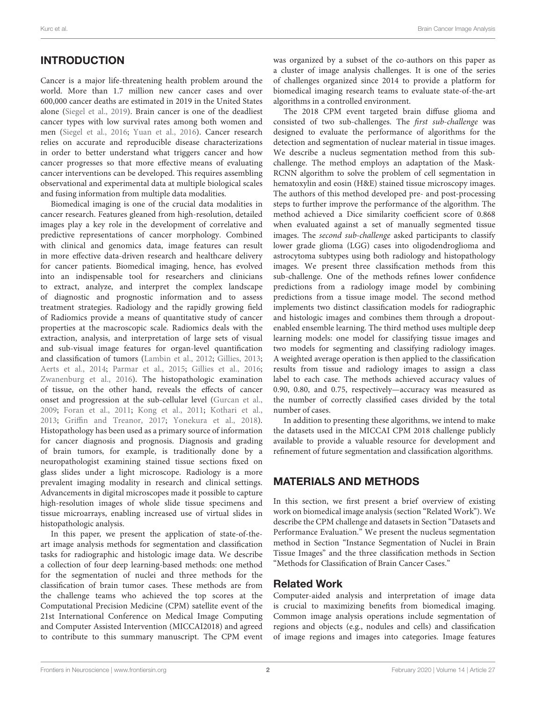# **INTRODUCTION**

Cancer is a major life-threatening health problem around the world. More than 1.7 million new cancer cases and over 600,000 cancer deaths are estimated in 2019 in the United States alone (Siegel et al., 2019). Brain cancer is one of the deadliest cancer types with low survival rates among both women and men (Siegel et al., 2016; Yuan et al., 2016). Cancer research relies on accurate and reproducible disease characterizations in order to better understand what triggers cancer and how cancer progresses so that more effective means of evaluating cancer interventions can be developed. This requires assembling observational and experimental data at multiple biological scales and fusing information from multiple data modalities.

Biomedical imaging is one of the crucial data modalities in cancer research. Features gleaned from high-resolution, detailed images play a key role in the development of correlative and predictive representations of cancer morphology. Combined with clinical and genomics data, image features can result in more effective data-driven research and healthcare delivery for cancer patients. Biomedical imaging, hence, has evolved into an indispensable tool for researchers and clinicians to extract, analyze, and interpret the complex landscape of diagnostic and prognostic information and to assess treatment strategies. Radiology and the rapidly growing field of Radiomics provide a means of quantitative study of cancer properties at the macroscopic scale. Radiomics deals with the extraction, analysis, and interpretation of large sets of visual and sub-visual image features for organ-level quantification and classification of tumors (Lambin et al., 2012; Gillies, 2013; Aerts et al., 2014; Parmar et al., 2015; Gillies et al., 2016; Zwanenburg et al., 2016). The histopathologic examination of tissue, on the other hand, reveals the effects of cancer onset and progression at the sub-cellular level (Gurcan et al., 2009; Foran et al., 2011; Kong et al., 2011; Kothari et al., 2013; Griffin and Treanor, 2017; Yonekura et al., 2018). Histopathology has been used as a primary source of information for cancer diagnosis and prognosis. Diagnosis and grading of brain tumors, for example, is traditionally done by a neuropathologist examining stained tissue sections fixed on glass slides under a light microscope. Radiology is a more prevalent imaging modality in research and clinical settings. Advancements in digital microscopes made it possible to capture high-resolution images of whole slide tissue specimens and tissue microarrays, enabling increased use of virtual slides in histopathologic analysis.

In this paper, we present the application of state-of-theart image analysis methods for segmentation and classification tasks for radiographic and histologic image data. We describe a collection of four deep learning-based methods: one method for the segmentation of nuclei and three methods for the classification of brain tumor cases. These methods are from the challenge teams who achieved the top scores at the Computational Precision Medicine (CPM) satellite event of the 21st International Conference on Medical Image Computing and Computer Assisted Intervention (MICCAI2018) and agreed to contribute to this summary manuscript. The CPM event

was organized by a subset of the co-authors on this paper as a cluster of image analysis challenges. It is one of the series of challenges organized since 2014 to provide a platform for biomedical imaging research teams to evaluate state-of-the-art algorithms in a controlled environment.

The 2018 CPM event targeted brain diffuse glioma and consisted of two sub-challenges. The first sub-challenge was designed to evaluate the performance of algorithms for the detection and segmentation of nuclear material in tissue images. We describe a nucleus segmentation method from this subchallenge. The method employs an adaptation of the Mask-RCNN algorithm to solve the problem of cell segmentation in hematoxylin and eosin (H&E) stained tissue microscopy images. The authors of this method developed pre- and post-processing steps to further improve the performance of the algorithm. The method achieved a Dice similarity coefficient score of 0.868 when evaluated against a set of manually segmented tissue images. The second sub-challenge asked participants to classify lower grade glioma (LGG) cases into oligodendroglioma and astrocytoma subtypes using both radiology and histopathology images. We present three classification methods from this sub-challenge. One of the methods refines lower confidence predictions from a radiology image model by combining predictions from a tissue image model. The second method implements two distinct classification models for radiographic and histologic images and combines them through a dropoutenabled ensemble learning. The third method uses multiple deep learning models: one model for classifying tissue images and two models for segmenting and classifying radiology images. A weighted average operation is then applied to the classification results from tissue and radiology images to assign a class label to each case. The methods achieved accuracy values of 0.90, 0.80, and 0.75, respectively—accuracy was measured as the number of correctly classified cases divided by the total number of cases.

In addition to presenting these algorithms, we intend to make the datasets used in the MICCAI CPM 2018 challenge publicly available to provide a valuable resource for development and refinement of future segmentation and classification algorithms.

# MATERIALS AND METHODS

In this section, we first present a brief overview of existing work on biomedical image analysis (section "Related Work"). We describe the CPM challenge and datasets in Section "Datasets and Performance Evaluation." We present the nucleus segmentation method in Section "Instance Segmentation of Nuclei in Brain Tissue Images" and the three classification methods in Section "Methods for Classification of Brain Cancer Cases."

## Related Work

Computer-aided analysis and interpretation of image data is crucial to maximizing benefits from biomedical imaging. Common image analysis operations include segmentation of regions and objects (e.g., nodules and cells) and classification of image regions and images into categories. Image features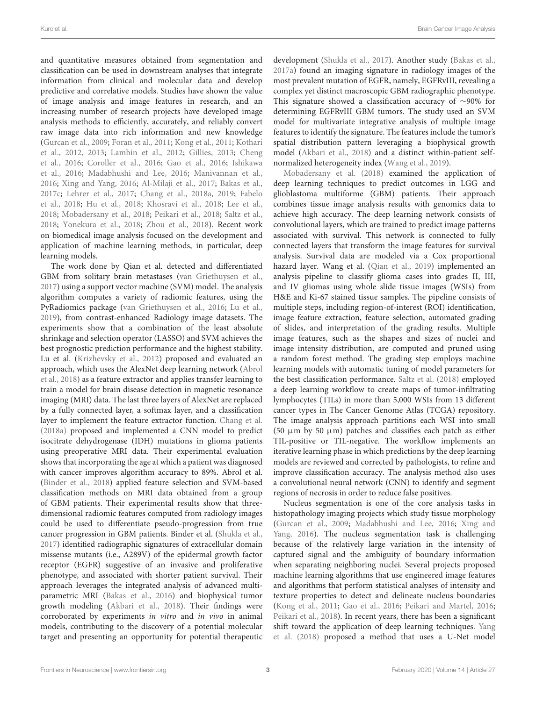and quantitative measures obtained from segmentation and classification can be used in downstream analyses that integrate information from clinical and molecular data and develop predictive and correlative models. Studies have shown the value of image analysis and image features in research, and an increasing number of research projects have developed image analysis methods to efficiently, accurately, and reliably convert raw image data into rich information and new knowledge (Gurcan et al., 2009; Foran et al., 2011; Kong et al., 2011; Kothari et al., 2012, 2013; Lambin et al., 2012; Gillies, 2013; Cheng et al., 2016; Coroller et al., 2016; Gao et al., 2016; Ishikawa et al., 2016; Madabhushi and Lee, 2016; Manivannan et al., 2016; Xing and Yang, 2016; Al-Milaji et al., 2017; Bakas et al., 2017c; Lehrer et al., 2017; Chang et al., 2018a, 2019; Fabelo et al., 2018; Hu et al., 2018; Khosravi et al., 2018; Lee et al., 2018; Mobadersany et al., 2018; Peikari et al., 2018; Saltz et al., 2018; Yonekura et al., 2018; Zhou et al., 2018). Recent work on biomedical image analysis focused on the development and application of machine learning methods, in particular, deep learning models.

The work done by Qian et al. detected and differentiated GBM from solitary brain metastases (van Griethuysen et al., 2017) using a support vector machine (SVM) model. The analysis algorithm computes a variety of radiomic features, using the PyRadiomics package (van Griethuysen et al., 2016; Lu et al., 2019), from contrast-enhanced Radiology image datasets. The experiments show that a combination of the least absolute shrinkage and selection operator (LASSO) and SVM achieves the best prognostic prediction performance and the highest stability. Lu et al. (Krizhevsky et al., 2012) proposed and evaluated an approach, which uses the AlexNet deep learning network (Abrol et al., 2018) as a feature extractor and applies transfer learning to train a model for brain disease detection in magnetic resonance imaging (MRI) data. The last three layers of AlexNet are replaced by a fully connected layer, a softmax layer, and a classification layer to implement the feature extractor function. Chang et al. (2018a) proposed and implemented a CNN model to predict isocitrate dehydrogenase (IDH) mutations in glioma patients using preoperative MRI data. Their experimental evaluation shows that incorporating the age at which a patient was diagnosed with cancer improves algorithm accuracy to 89%. Abrol et al. (Binder et al., 2018) applied feature selection and SVM-based classification methods on MRI data obtained from a group of GBM patients. Their experimental results show that threedimensional radiomic features computed from radiology images could be used to differentiate pseudo-progression from true cancer progression in GBM patients. Binder et al. (Shukla et al., 2017) identified radiographic signatures of extracellular domain missense mutants (i.e., A289V) of the epidermal growth factor receptor (EGFR) suggestive of an invasive and proliferative phenotype, and associated with shorter patient survival. Their approach leverages the integrated analysis of advanced multiparametric MRI (Bakas et al., 2016) and biophysical tumor growth modeling (Akbari et al., 2018). Their findings were corroborated by experiments in vitro and in vivo in animal models, contributing to the discovery of a potential molecular target and presenting an opportunity for potential therapeutic

development (Shukla et al., 2017). Another study (Bakas et al., 2017a) found an imaging signature in radiology images of the most prevalent mutation of EGFR, namely, EGFRvIII, revealing a complex yet distinct macroscopic GBM radiographic phenotype. This signature showed a classification accuracy of ∼90% for determining EGFRvIII GBM tumors. The study used an SVM model for multivariate integrative analysis of multiple image features to identify the signature. The features include the tumor's spatial distribution pattern leveraging a biophysical growth model (Akbari et al., 2018) and a distinct within-patient selfnormalized heterogeneity index (Wang et al., 2019).

Mobadersany et al. (2018) examined the application of deep learning techniques to predict outcomes in LGG and glioblastoma multiforme (GBM) patients. Their approach combines tissue image analysis results with genomics data to achieve high accuracy. The deep learning network consists of convolutional layers, which are trained to predict image patterns associated with survival. This network is connected to fully connected layers that transform the image features for survival analysis. Survival data are modeled via a Cox proportional hazard layer. Wang et al. (Qian et al., 2019) implemented an analysis pipeline to classify glioma cases into grades II, III, and IV gliomas using whole slide tissue images (WSIs) from H&E and Ki-67 stained tissue samples. The pipeline consists of multiple steps, including region-of-interest (ROI) identification, image feature extraction, feature selection, automated grading of slides, and interpretation of the grading results. Multiple image features, such as the shapes and sizes of nuclei and image intensity distribution, are computed and pruned using a random forest method. The grading step employs machine learning models with automatic tuning of model parameters for the best classification performance. Saltz et al. (2018) employed a deep learning workflow to create maps of tumor-infiltrating lymphocytes (TILs) in more than 5,000 WSIs from 13 different cancer types in The Cancer Genome Atlas (TCGA) repository. The image analysis approach partitions each WSI into small (50  $\mu$ m by 50  $\mu$ m) patches and classifies each patch as either TIL-positive or TIL-negative. The workflow implements an iterative learning phase in which predictions by the deep learning models are reviewed and corrected by pathologists, to refine and improve classification accuracy. The analysis method also uses a convolutional neural network (CNN) to identify and segment regions of necrosis in order to reduce false positives.

Nucleus segmentation is one of the core analysis tasks in histopathology imaging projects which study tissue morphology (Gurcan et al., 2009; Madabhushi and Lee, 2016; Xing and Yang, 2016). The nucleus segmentation task is challenging because of the relatively large variation in the intensity of captured signal and the ambiguity of boundary information when separating neighboring nuclei. Several projects proposed machine learning algorithms that use engineered image features and algorithms that perform statistical analyses of intensity and texture properties to detect and delineate nucleus boundaries (Kong et al., 2011; Gao et al., 2016; Peikari and Martel, 2016; Peikari et al., 2018). In recent years, there has been a significant shift toward the application of deep learning techniques. Yang et al. (2018) proposed a method that uses a U-Net model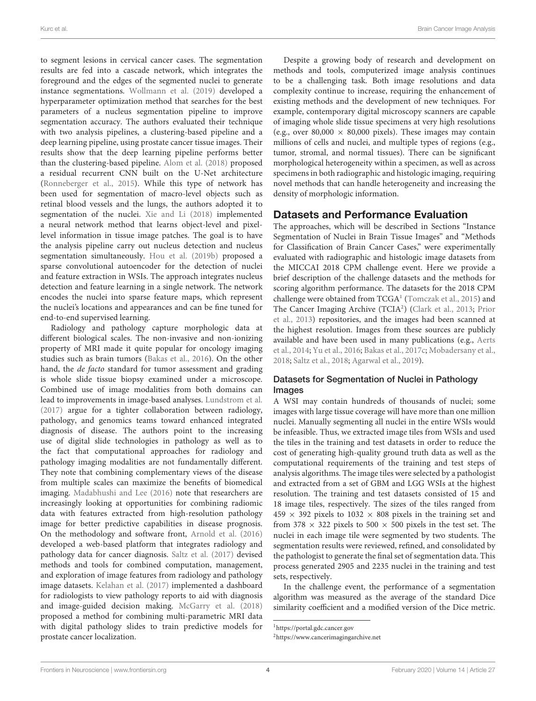to segment lesions in cervical cancer cases. The segmentation results are fed into a cascade network, which integrates the foreground and the edges of the segmented nuclei to generate instance segmentations. Wollmann et al. (2019) developed a hyperparameter optimization method that searches for the best parameters of a nucleus segmentation pipeline to improve segmentation accuracy. The authors evaluated their technique with two analysis pipelines, a clustering-based pipeline and a deep learning pipeline, using prostate cancer tissue images. Their results show that the deep learning pipeline performs better than the clustering-based pipeline. Alom et al. (2018) proposed a residual recurrent CNN built on the U-Net architecture (Ronneberger et al., 2015). While this type of network has been used for segmentation of macro-level objects such as retinal blood vessels and the lungs, the authors adopted it to segmentation of the nuclei. Xie and Li (2018) implemented a neural network method that learns object-level and pixellevel information in tissue image patches. The goal is to have the analysis pipeline carry out nucleus detection and nucleus segmentation simultaneously. Hou et al. (2019b) proposed a sparse convolutional autoencoder for the detection of nuclei and feature extraction in WSIs. The approach integrates nucleus detection and feature learning in a single network. The network encodes the nuclei into sparse feature maps, which represent the nuclei's locations and appearances and can be fine tuned for end-to-end supervised learning.

Radiology and pathology capture morphologic data at different biological scales. The non-invasive and non-ionizing property of MRI made it quite popular for oncology imaging studies such as brain tumors (Bakas et al., 2016). On the other hand, the de facto standard for tumor assessment and grading is whole slide tissue biopsy examined under a microscope. Combined use of image modalities from both domains can lead to improvements in image-based analyses. Lundstrom et al. (2017) argue for a tighter collaboration between radiology, pathology, and genomics teams toward enhanced integrated diagnosis of disease. The authors point to the increasing use of digital slide technologies in pathology as well as to the fact that computational approaches for radiology and pathology imaging modalities are not fundamentally different. They note that combining complementary views of the disease from multiple scales can maximize the benefits of biomedical imaging. Madabhushi and Lee (2016) note that researchers are increasingly looking at opportunities for combining radiomic data with features extracted from high-resolution pathology image for better predictive capabilities in disease prognosis. On the methodology and software front, Arnold et al. (2016) developed a web-based platform that integrates radiology and pathology data for cancer diagnosis. Saltz et al. (2017) devised methods and tools for combined computation, management, and exploration of image features from radiology and pathology image datasets. Kelahan et al. (2017) implemented a dashboard for radiologists to view pathology reports to aid with diagnosis and image-guided decision making. McGarry et al. (2018) proposed a method for combining multi-parametric MRI data with digital pathology slides to train predictive models for prostate cancer localization.

Despite a growing body of research and development on methods and tools, computerized image analysis continues to be a challenging task. Both image resolutions and data complexity continue to increase, requiring the enhancement of existing methods and the development of new techniques. For example, contemporary digital microscopy scanners are capable of imaging whole slide tissue specimens at very high resolutions (e.g., over 80,000  $\times$  80,000 pixels). These images may contain millions of cells and nuclei, and multiple types of regions (e.g., tumor, stromal, and normal tissues). There can be significant morphological heterogeneity within a specimen, as well as across specimens in both radiographic and histologic imaging, requiring novel methods that can handle heterogeneity and increasing the density of morphologic information.

## Datasets and Performance Evaluation

The approaches, which will be described in Sections "Instance Segmentation of Nuclei in Brain Tissue Images" and "Methods for Classification of Brain Cancer Cases," were experimentally evaluated with radiographic and histologic image datasets from the MICCAI 2018 CPM challenge event. Here we provide a brief description of the challenge datasets and the methods for scoring algorithm performance. The datasets for the 2018 CPM challenge were obtained from TCGA<sup>1</sup> (Tomczak et al., 2015) and The Cancer Imaging Archive (TCIA<sup>2</sup>) (Clark et al., 2013; Prior et al., 2013) repositories, and the images had been scanned at the highest resolution. Images from these sources are publicly available and have been used in many publications (e.g., Aerts et al., 2014; Yu et al., 2016; Bakas et al., 2017c; Mobadersany et al., 2018; Saltz et al., 2018; Agarwal et al., 2019).

## Datasets for Segmentation of Nuclei in Pathology Images

A WSI may contain hundreds of thousands of nuclei; some images with large tissue coverage will have more than one million nuclei. Manually segmenting all nuclei in the entire WSIs would be infeasible. Thus, we extracted image tiles from WSIs and used the tiles in the training and test datasets in order to reduce the cost of generating high-quality ground truth data as well as the computational requirements of the training and test steps of analysis algorithms. The image tiles were selected by a pathologist and extracted from a set of GBM and LGG WSIs at the highest resolution. The training and test datasets consisted of 15 and 18 image tiles, respectively. The sizes of the tiles ranged from  $459 \times 392$  pixels to  $1032 \times 808$  pixels in the training set and from 378  $\times$  322 pixels to 500  $\times$  500 pixels in the test set. The nuclei in each image tile were segmented by two students. The segmentation results were reviewed, refined, and consolidated by the pathologist to generate the final set of segmentation data. This process generated 2905 and 2235 nuclei in the training and test sets, respectively.

In the challenge event, the performance of a segmentation algorithm was measured as the average of the standard Dice similarity coefficient and a modified version of the Dice metric.

<sup>1</sup>https://portal.gdc.cancer.gov

<sup>2</sup>https://www.cancerimagingarchive.net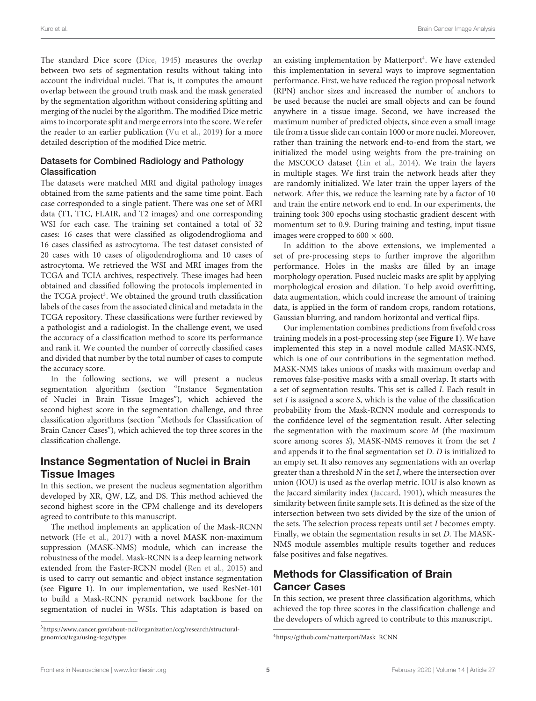The standard Dice score (Dice, 1945) measures the overlap between two sets of segmentation results without taking into account the individual nuclei. That is, it computes the amount overlap between the ground truth mask and the mask generated by the segmentation algorithm without considering splitting and merging of the nuclei by the algorithm. The modified Dice metric aims to incorporate split and merge errors into the score. We refer the reader to an earlier publication (Vu et al., 2019) for a more detailed description of the modified Dice metric.

#### Datasets for Combined Radiology and Pathology Classification

The datasets were matched MRI and digital pathology images obtained from the same patients and the same time point. Each case corresponded to a single patient. There was one set of MRI data (T1, T1C, FLAIR, and T2 images) and one corresponding WSI for each case. The training set contained a total of 32 cases: 16 cases that were classified as oligodendroglioma and 16 cases classified as astrocytoma. The test dataset consisted of 20 cases with 10 cases of oligodendroglioma and 10 cases of astrocytoma. We retrieved the WSI and MRI images from the TCGA and TCIA archives, respectively. These images had been obtained and classified following the protocols implemented in the TCGA project<sup>3</sup>. We obtained the ground truth classification labels of the cases from the associated clinical and metadata in the TCGA repository. These classifications were further reviewed by a pathologist and a radiologist. In the challenge event, we used the accuracy of a classification method to score its performance and rank it. We counted the number of correctly classified cases and divided that number by the total number of cases to compute the accuracy score.

In the following sections, we will present a nucleus segmentation algorithm (section "Instance Segmentation of Nuclei in Brain Tissue Images"), which achieved the second highest score in the segmentation challenge, and three classification algorithms (section "Methods for Classification of Brain Cancer Cases"), which achieved the top three scores in the classification challenge.

## Instance Segmentation of Nuclei in Brain Tissue Images

In this section, we present the nucleus segmentation algorithm developed by XR, QW, LZ, and DS. This method achieved the second highest score in the CPM challenge and its developers agreed to contribute to this manuscript.

The method implements an application of the Mask-RCNN network (He et al., 2017) with a novel MASK non-maximum suppression (MASK-NMS) module, which can increase the robustness of the model. Mask-RCNN is a deep learning network extended from the Faster-RCNN model (Ren et al., 2015) and is used to carry out semantic and object instance segmentation (see **Figure 1**). In our implementation, we used ResNet-101 to build a Mask-RCNN pyramid network backbone for the segmentation of nuclei in WSIs. This adaptation is based on

an existing implementation by Matterport<sup>4</sup>. We have extended this implementation in several ways to improve segmentation performance. First, we have reduced the region proposal network (RPN) anchor sizes and increased the number of anchors to be used because the nuclei are small objects and can be found anywhere in a tissue image. Second, we have increased the maximum number of predicted objects, since even a small image tile from a tissue slide can contain 1000 or more nuclei. Moreover, rather than training the network end-to-end from the start, we initialized the model using weights from the pre-training on the MSCOCO dataset (Lin et al., 2014). We train the layers in multiple stages. We first train the network heads after they are randomly initialized. We later train the upper layers of the network. After this, we reduce the learning rate by a factor of 10 and train the entire network end to end. In our experiments, the training took 300 epochs using stochastic gradient descent with momentum set to 0.9. During training and testing, input tissue images were cropped to  $600 \times 600$ .

In addition to the above extensions, we implemented a set of pre-processing steps to further improve the algorithm performance. Holes in the masks are filled by an image morphology operation. Fused nucleic masks are split by applying morphological erosion and dilation. To help avoid overfitting, data augmentation, which could increase the amount of training data, is applied in the form of random crops, random rotations, Gaussian blurring, and random horizontal and vertical flips.

Our implementation combines predictions from fivefold cross training models in a post-processing step (see **Figure 1**). We have implemented this step in a novel module called MASK-NMS, which is one of our contributions in the segmentation method. MASK-NMS takes unions of masks with maximum overlap and removes false-positive masks with a small overlap. It starts with a set of segmentation results. This set is called I. Each result in set  $I$  is assigned a score  $S$ , which is the value of the classification probability from the Mask-RCNN module and corresponds to the confidence level of the segmentation result. After selecting the segmentation with the maximum score  $M$  (the maximum score among scores S), MASK-NMS removes it from the set I and appends it to the final segmentation set D. D is initialized to an empty set. It also removes any segmentations with an overlap greater than a threshold  $N$  in the set  $I$ , where the intersection over union (IOU) is used as the overlap metric. IOU is also known as the Jaccard similarity index (Jaccard, 1901), which measures the similarity between finite sample sets. It is defined as the size of the intersection between two sets divided by the size of the union of the sets. The selection process repeats until set I becomes empty. Finally, we obtain the segmentation results in set D. The MASK-NMS module assembles multiple results together and reduces false positives and false negatives.

## Methods for Classification of Brain Cancer Cases

In this section, we present three classification algorithms, which achieved the top three scores in the classification challenge and the developers of which agreed to contribute to this manuscript.

<sup>3</sup>https://www.cancer.gov/about-nci/organization/ccg/research/structuralgenomics/tcga/using-tcga/types

<sup>4</sup>https://github.com/matterport/Mask\_RCNN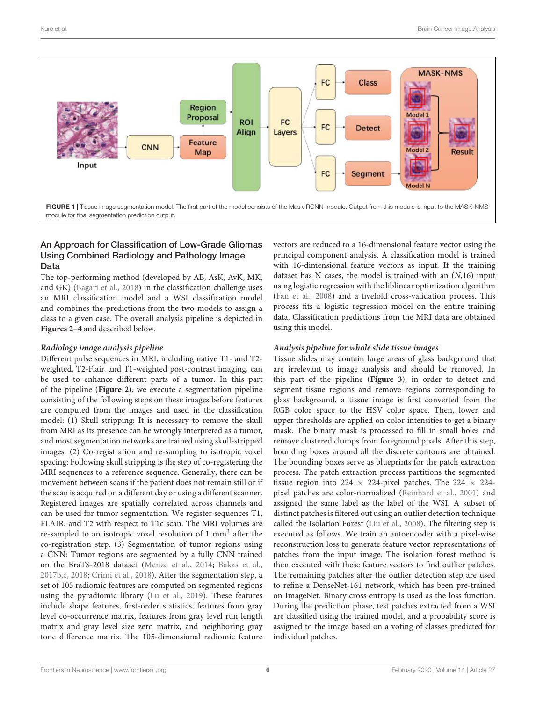

#### An Approach for Classification of Low-Grade Gliomas Using Combined Radiology and Pathology Image Data

The top-performing method (developed by AB, AsK, AvK, MK, and GK) (Bagari et al., 2018) in the classification challenge uses an MRI classification model and a WSI classification model and combines the predictions from the two models to assign a class to a given case. The overall analysis pipeline is depicted in **Figures 2–4** and described below.

#### **Radiology image analysis pipeline**

Different pulse sequences in MRI, including native T1- and T2 weighted, T2-Flair, and T1-weighted post-contrast imaging, can be used to enhance different parts of a tumor. In this part of the pipeline (**Figure 2**), we execute a segmentation pipeline consisting of the following steps on these images before features are computed from the images and used in the classification model: (1) Skull stripping: It is necessary to remove the skull from MRI as its presence can be wrongly interpreted as a tumor, and most segmentation networks are trained using skull-stripped images. (2) Co-registration and re-sampling to isotropic voxel spacing: Following skull stripping is the step of co-registering the MRI sequences to a reference sequence. Generally, there can be movement between scans if the patient does not remain still or if the scan is acquired on a different day or using a different scanner. Registered images are spatially correlated across channels and can be used for tumor segmentation. We register sequences T1, FLAIR, and T2 with respect to T1c scan. The MRI volumes are re-sampled to an isotropic voxel resolution of 1 mm<sup>3</sup> after the co-registration step. (3) Segmentation of tumor regions using a CNN: Tumor regions are segmented by a fully CNN trained on the BraTS-2018 dataset (Menze et al., 2014; Bakas et al., 2017b,c, 2018; Crimi et al., 2018). After the segmentation step, a set of 105 radiomic features are computed on segmented regions using the pyradiomic library (Lu et al., 2019). These features include shape features, first-order statistics, features from gray level co-occurrence matrix, features from gray level run length matrix and gray level size zero matrix, and neighboring gray tone difference matrix. The 105-dimensional radiomic feature

vectors are reduced to a 16-dimensional feature vector using the principal component analysis. A classification model is trained with 16-dimensional feature vectors as input. If the training dataset has  $N$  cases, the model is trained with an  $(N,16)$  input using logistic regression with the liblinear optimization algorithm (Fan et al., 2008) and a fivefold cross-validation process. This process fits a logistic regression model on the entire training data. Classification predictions from the MRI data are obtained using this model.

#### **Analysis pipeline for whole slide tissue images**

Tissue slides may contain large areas of glass background that are irrelevant to image analysis and should be removed. In this part of the pipeline (**Figure 3**), in order to detect and segment tissue regions and remove regions corresponding to glass background, a tissue image is first converted from the RGB color space to the HSV color space. Then, lower and upper thresholds are applied on color intensities to get a binary mask. The binary mask is processed to fill in small holes and remove clustered clumps from foreground pixels. After this step, bounding boxes around all the discrete contours are obtained. The bounding boxes serve as blueprints for the patch extraction process. The patch extraction process partitions the segmented tissue region into 224  $\times$  224-pixel patches. The 224  $\times$  224pixel patches are color-normalized (Reinhard et al., 2001) and assigned the same label as the label of the WSI. A subset of distinct patches is filtered out using an outlier detection technique called the Isolation Forest (Liu et al., 2008). The filtering step is executed as follows. We train an autoencoder with a pixel-wise reconstruction loss to generate feature vector representations of patches from the input image. The isolation forest method is then executed with these feature vectors to find outlier patches. The remaining patches after the outlier detection step are used to refine a DenseNet-161 network, which has been pre-trained on ImageNet. Binary cross entropy is used as the loss function. During the prediction phase, test patches extracted from a WSI are classified using the trained model, and a probability score is assigned to the image based on a voting of classes predicted for individual patches.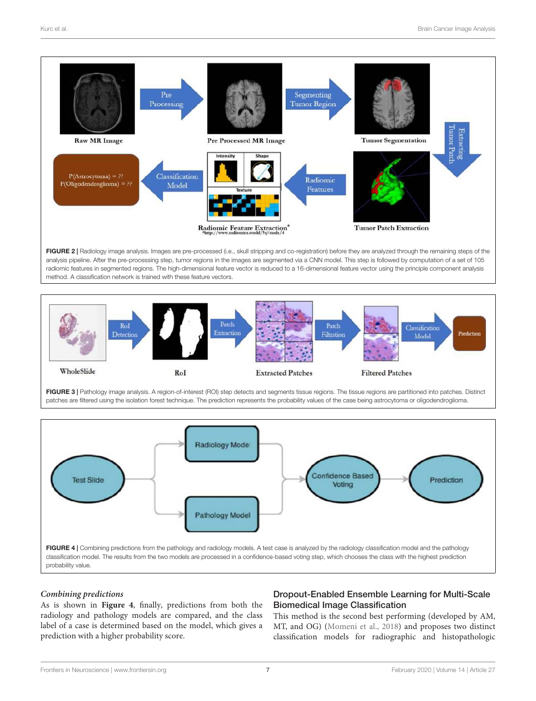

method. A classification network is trained with these feature vectors.



FIGURE 3 | Pathology image analysis. A region-of-interest (ROI) step detects and segments tissue regions. The tissue regions are partitioned into patches. Distinct patches are filtered using the isolation forest technique. The prediction represents the probability values of the case being astrocytoma or oligodendroglioma.



#### **Combining predictions**

As is shown in **Figure 4**, finally, predictions from both the radiology and pathology models are compared, and the class label of a case is determined based on the model, which gives a prediction with a higher probability score.

## Dropout-Enabled Ensemble Learning for Multi-Scale Biomedical Image Classification

This method is the second best performing (developed by AM, MT, and OG) (Momeni et al., 2018) and proposes two distinct classification models for radiographic and histopathologic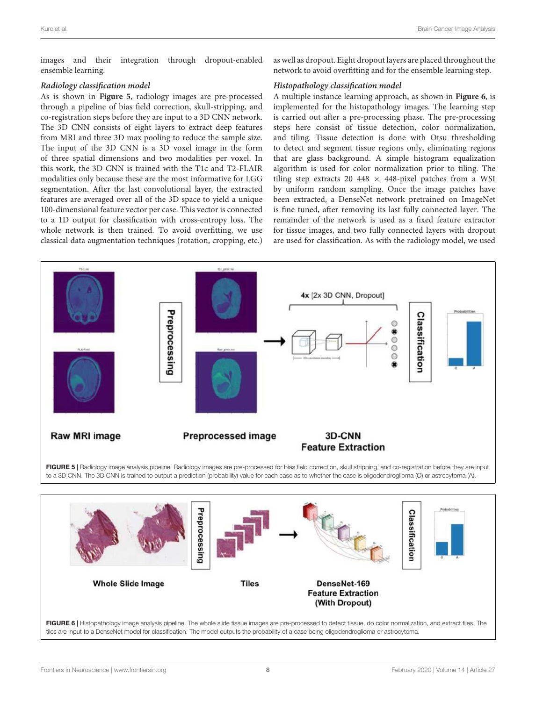images and their integration through dropout-enabled ensemble learning.

#### **Radiology classification model**

As is shown in **Figure 5**, radiology images are pre-processed through a pipeline of bias field correction, skull-stripping, and co-registration steps before they are input to a 3D CNN network. The 3D CNN consists of eight layers to extract deep features from MRI and three 3D max pooling to reduce the sample size. The input of the 3D CNN is a 3D voxel image in the form of three spatial dimensions and two modalities per voxel. In this work, the 3D CNN is trained with the T1c and T2-FLAIR modalities only because these are the most informative for LGG segmentation. After the last convolutional layer, the extracted features are averaged over all of the 3D space to yield a unique 100-dimensional feature vector per case. This vector is connected to a 1D output for classification with cross-entropy loss. The whole network is then trained. To avoid overfitting, we use classical data augmentation techniques (rotation, cropping, etc.)

as well as dropout. Eight dropout layers are placed throughout the network to avoid overfitting and for the ensemble learning step.

#### **Histopathology classification model**

A multiple instance learning approach, as shown in **Figure 6**, is implemented for the histopathology images. The learning step is carried out after a pre-processing phase. The pre-processing steps here consist of tissue detection, color normalization, and tiling. Tissue detection is done with Otsu thresholding to detect and segment tissue regions only, eliminating regions that are glass background. A simple histogram equalization algorithm is used for color normalization prior to tiling. The tiling step extracts 20 448  $\times$  448-pixel patches from a WSI by uniform random sampling. Once the image patches have been extracted, a DenseNet network pretrained on ImageNet is fine tuned, after removing its last fully connected layer. The remainder of the network is used as a fixed feature extractor for tissue images, and two fully connected layers with dropout are used for classification. As with the radiology model, we used



tiles are input to a DenseNet model for classification. The model outputs the probability of a case being oligodendroglioma or astrocytoma.

FIGURE 6 | Histopathology image analysis pipeline. The whole slide tissue images are pre-processed to detect tissue, do color normalization, and extract tiles. The

(With Dropout)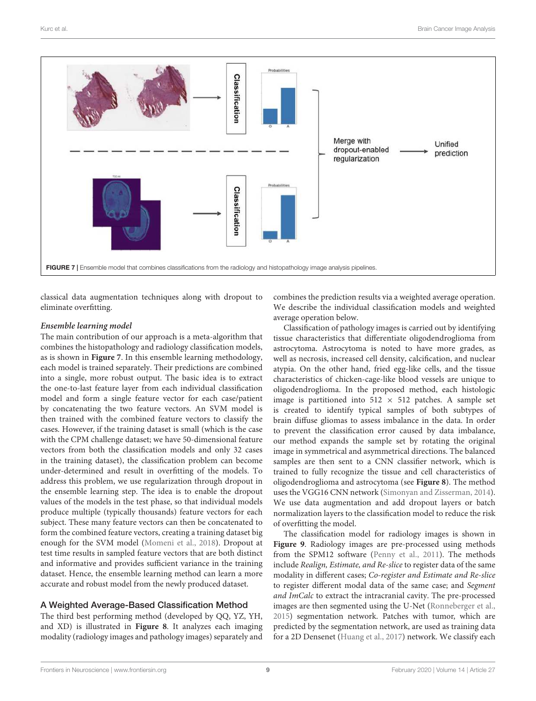

classical data augmentation techniques along with dropout to eliminate overfitting.

#### **Ensemble learning model**

The main contribution of our approach is a meta-algorithm that combines the histopathology and radiology classification models, as is shown in **Figure 7**. In this ensemble learning methodology, each model is trained separately. Their predictions are combined into a single, more robust output. The basic idea is to extract the one-to-last feature layer from each individual classification model and form a single feature vector for each case/patient by concatenating the two feature vectors. An SVM model is then trained with the combined feature vectors to classify the cases. However, if the training dataset is small (which is the case with the CPM challenge dataset; we have 50-dimensional feature vectors from both the classification models and only 32 cases in the training dataset), the classification problem can become under-determined and result in overfitting of the models. To address this problem, we use regularization through dropout in the ensemble learning step. The idea is to enable the dropout values of the models in the test phase, so that individual models produce multiple (typically thousands) feature vectors for each subject. These many feature vectors can then be concatenated to form the combined feature vectors, creating a training dataset big enough for the SVM model (Momeni et al., 2018). Dropout at test time results in sampled feature vectors that are both distinct and informative and provides sufficient variance in the training dataset. Hence, the ensemble learning method can learn a more accurate and robust model from the newly produced dataset.

## A Weighted Average-Based Classification Method

The third best performing method (developed by QQ, YZ, YH, and XD) is illustrated in **Figure 8**. It analyzes each imaging modality (radiology images and pathology images) separately and

combines the prediction results via a weighted average operation. We describe the individual classification models and weighted average operation below.

Classification of pathology images is carried out by identifying tissue characteristics that differentiate oligodendroglioma from astrocytoma. Astrocytoma is noted to have more grades, as well as necrosis, increased cell density, calcification, and nuclear atypia. On the other hand, fried egg-like cells, and the tissue characteristics of chicken-cage-like blood vessels are unique to oligodendroglioma. In the proposed method, each histologic image is partitioned into  $512 \times 512$  patches. A sample set is created to identify typical samples of both subtypes of brain diffuse gliomas to assess imbalance in the data. In order to prevent the classification error caused by data imbalance, our method expands the sample set by rotating the original image in symmetrical and asymmetrical directions. The balanced samples are then sent to a CNN classifier network, which is trained to fully recognize the tissue and cell characteristics of oligodendroglioma and astrocytoma (see **Figure 8**). The method uses the VGG16 CNN network (Simonyan and Zisserman, 2014). We use data augmentation and add dropout layers or batch normalization layers to the classification model to reduce the risk of overfitting the model.

The classification model for radiology images is shown in **Figure 9**. Radiology images are pre-processed using methods from the SPM12 software (Penny et al., 2011). The methods include Realign, Estimate, and Re-slice to register data of the same modality in different cases; Co-register and Estimate and Re-slice to register different modal data of the same case; and Segment and ImCalc to extract the intracranial cavity. The pre-processed images are then segmented using the U-Net (Ronneberger et al., 2015) segmentation network. Patches with tumor, which are predicted by the segmentation network, are used as training data for a 2D Densenet (Huang et al., 2017) network. We classify each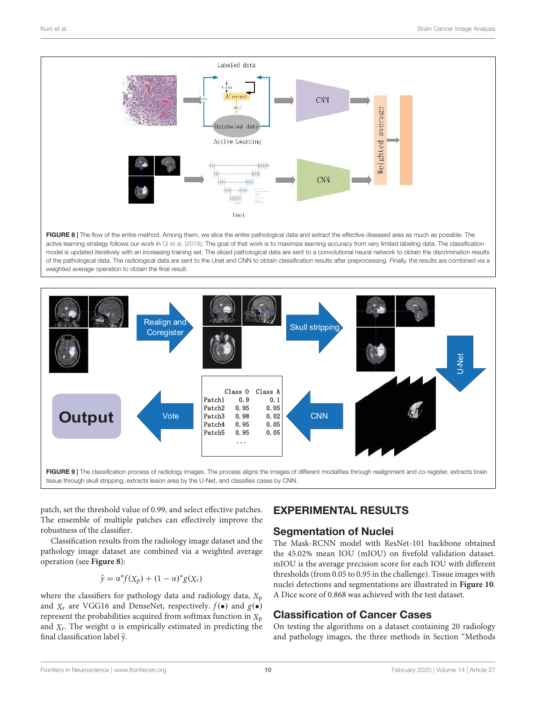

FIGURE 8 | The flow of the entire method. Among them, we slice the entire pathological data and extract the effective diseased area as much as possible. The active learning strategy follows our work in Qi et al. (2018). The goal of that work is to maximize learning accuracy from very limited labeling data. The classification model is updated iteratively with an increasing training set. The sliced pathological data are sent to a convolutional neural network to obtain the discrimination results of the pathological data. The radiological data are sent to the Unet and CNN to obtain classification results after preprocessing. Finally, the results are combined via a weighted average operation to obtain the final result.



tissue through skull stripping, extracts lesion area by the U-Net, and classifies cases by CNN.

patch, set the threshold value of 0.99, and select effective patches. The ensemble of multiple patches can effectively improve the robustness of the classifier.

Classification results from the radiology image dataset and the pathology image dataset are combined via a weighted average operation (see **Figure 8**):

$$
\hat{y} = \alpha^* f(X_p) + (1 - \alpha)^* g(X_r)
$$

where the classifiers for pathology data and radiology data,  $X_p$ and  $X_r$  are VGG16 and DenseNet, respectively.  $f(\bullet)$  and  $g(\bullet)$ represent the probabilities acquired from softmax function in  $X_p$ and  $X_r$ . The weight  $\alpha$  is empirically estimated in predicting the final classification label  $\hat{y}$ .

# EXPERIMENTAL RESULTS

## Segmentation of Nuclei

The Mask-RCNN model with ResNet-101 backbone obtained the 45.02% mean IOU (mIOU) on fivefold validation dataset. mIOU is the average precision score for each IOU with different thresholds (from 0.05 to 0.95 in the challenge). Tissue images with nuclei detections and segmentations are illustrated in **Figure 10**. A Dice score of 0.868 was achieved with the test dataset.

## Classification of Cancer Cases

On testing the algorithms on a dataset containing 20 radiology and pathology images, the three methods in Section "Methods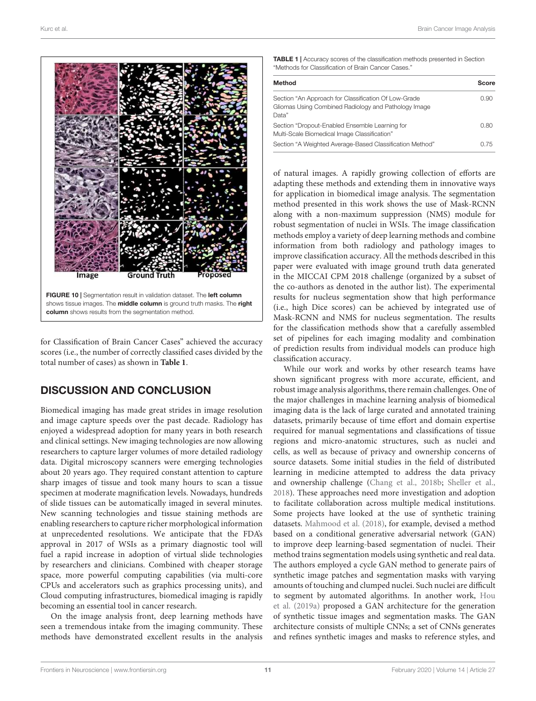

for Classification of Brain Cancer Cases" achieved the accuracy scores (i.e., the number of correctly classified cases divided by the total number of cases) as shown in **Table 1**.

## DISCUSSION AND CONCLUSION

Biomedical imaging has made great strides in image resolution and image capture speeds over the past decade. Radiology has enjoyed a widespread adoption for many years in both research and clinical settings. New imaging technologies are now allowing researchers to capture larger volumes of more detailed radiology data. Digital microscopy scanners were emerging technologies about 20 years ago. They required constant attention to capture sharp images of tissue and took many hours to scan a tissue specimen at moderate magnification levels. Nowadays, hundreds of slide tissues can be automatically imaged in several minutes. New scanning technologies and tissue staining methods are enabling researchers to capture richer morphological information at unprecedented resolutions. We anticipate that the FDA's approval in 2017 of WSIs as a primary diagnostic tool will fuel a rapid increase in adoption of virtual slide technologies by researchers and clinicians. Combined with cheaper storage space, more powerful computing capabilities (via multi-core CPUs and accelerators such as graphics processing units), and Cloud computing infrastructures, biomedical imaging is rapidly becoming an essential tool in cancer research.

On the image analysis front, deep learning methods have seen a tremendous intake from the imaging community. These methods have demonstrated excellent results in the analysis

TABLE 1 | Accuracy scores of the classification methods presented in Section "Methods for Classification of Brain Cancer Cases."

| <b>Method</b>                                                                                                         | <b>Score</b> |
|-----------------------------------------------------------------------------------------------------------------------|--------------|
| Section "An Approach for Classification Of Low-Grade<br>Gliomas Using Combined Radiology and Pathology Image<br>Data" | 0.90         |
| Section "Dropout-Enabled Ensemble Learning for<br>Multi-Scale Biomedical Image Classification"                        | 0.80         |
| Section "A Weighted Average-Based Classification Method"                                                              | O 75         |

of natural images. A rapidly growing collection of efforts are adapting these methods and extending them in innovative ways for application in biomedical image analysis. The segmentation method presented in this work shows the use of Mask-RCNN along with a non-maximum suppression (NMS) module for robust segmentation of nuclei in WSIs. The image classification methods employ a variety of deep learning methods and combine information from both radiology and pathology images to improve classification accuracy. All the methods described in this paper were evaluated with image ground truth data generated in the MICCAI CPM 2018 challenge (organized by a subset of the co-authors as denoted in the author list). The experimental results for nucleus segmentation show that high performance (i.e., high Dice scores) can be achieved by integrated use of Mask-RCNN and NMS for nucleus segmentation. The results for the classification methods show that a carefully assembled set of pipelines for each imaging modality and combination of prediction results from individual models can produce high classification accuracy.

While our work and works by other research teams have shown significant progress with more accurate, efficient, and robust image analysis algorithms, there remain challenges. One of the major challenges in machine learning analysis of biomedical imaging data is the lack of large curated and annotated training datasets, primarily because of time effort and domain expertise required for manual segmentations and classifications of tissue regions and micro-anatomic structures, such as nuclei and cells, as well as because of privacy and ownership concerns of source datasets. Some initial studies in the field of distributed learning in medicine attempted to address the data privacy and ownership challenge (Chang et al., 2018b; Sheller et al., 2018). These approaches need more investigation and adoption to facilitate collaboration across multiple medical institutions. Some projects have looked at the use of synthetic training datasets. Mahmood et al. (2018), for example, devised a method based on a conditional generative adversarial network (GAN) to improve deep learning-based segmentation of nuclei. Their method trains segmentation models using synthetic and real data. The authors employed a cycle GAN method to generate pairs of synthetic image patches and segmentation masks with varying amounts of touching and clumped nuclei. Such nuclei are difficult to segment by automated algorithms. In another work, Hou et al. (2019a) proposed a GAN architecture for the generation of synthetic tissue images and segmentation masks. The GAN architecture consists of multiple CNNs; a set of CNNs generates and refines synthetic images and masks to reference styles, and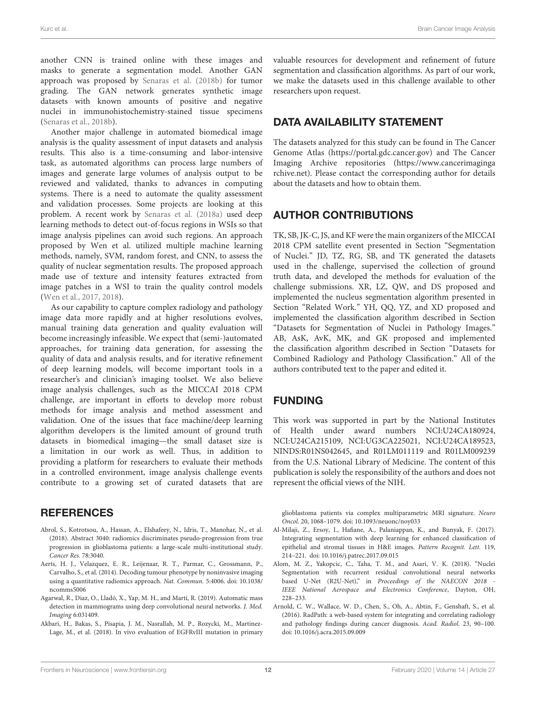another CNN is trained online with these images and masks to generate a segmentation model. Another GAN approach was proposed by Senaras et al. (2018b) for tumor grading. The GAN network generates synthetic image datasets with known amounts of positive and negative nuclei in immunohistochemistry-stained tissue specimens (Senaras et al., 2018b).

Another major challenge in automated biomedical image analysis is the quality assessment of input datasets and analysis results. This also is a time-consuming and labor-intensive task, as automated algorithms can process large numbers of images and generate large volumes of analysis output to be reviewed and validated, thanks to advances in computing systems. There is a need to automate the quality assessment and validation processes. Some projects are looking at this problem. A recent work by Senaras et al. (2018a) used deep learning methods to detect out-of-focus regions in WSIs so that image analysis pipelines can avoid such regions. An approach proposed by Wen et al. utilized multiple machine learning methods, namely, SVM, random forest, and CNN, to assess the quality of nuclear segmentation results. The proposed approach made use of texture and intensity features extracted from image patches in a WSI to train the quality control models (Wen et al., 2017, 2018).

As our capability to capture complex radiology and pathology image data more rapidly and at higher resolutions evolves, manual training data generation and quality evaluation will become increasingly infeasible. We expect that (semi-)automated approaches, for training data generation, for assessing the quality of data and analysis results, and for iterative refinement of deep learning models, will become important tools in a researcher's and clinician's imaging toolset. We also believe image analysis challenges, such as the MICCAI 2018 CPM challenge, are important in efforts to develop more robust methods for image analysis and method assessment and validation. One of the issues that face machine/deep learning algorithm developers is the limited amount of ground truth datasets in biomedical imaging—the small dataset size is a limitation in our work as well. Thus, in addition to providing a platform for researchers to evaluate their methods in a controlled environment, image analysis challenge events contribute to a growing set of curated datasets that are

## **REFERENCES**

- Abrol, S., Kotrotsou, A., Hassan, A., Elshafeey, N., Idris, T., Manohar, N., et al. (2018). Abstract 3040: radiomics discriminates pseudo-progression from true progression in glioblastoma patients: a large-scale multi-institutional study. Cancer Res. 78:3040.
- Aerts, H. J., Velazquez, E. R., Leijenaar, R. T., Parmar, C., Grossmann, P., Carvalho, S., et al. (2014). Decoding tumour phenotype by noninvasive imaging using a quantitative radiomics approach. Nat. Commun. 5:4006. doi: 10.1038/ ncomms5006
- Agarwal, R., Diaz, O., Lladó, X., Yap, M. H., and Martí, R. (2019). Automatic mass detection in mammograms using deep convolutional neural networks. J. Med. Imaging 6:031409.
- Akbari, H., Bakas, S., Pisapia, J. M., Nasrallah, M. P., Rozycki, M., Martinez-Lage, M., et al. (2018). In vivo evaluation of EGFRvIII mutation in primary

valuable resources for development and refinement of future segmentation and classification algorithms. As part of our work, we make the datasets used in this challenge available to other researchers upon request.

## DATA AVAILABILITY STATEMENT

The datasets analyzed for this study can be found in The Cancer Genome Atlas (https://portal.gdc.cancer.gov) and The Cancer Imaging Archive repositories (https://www.cancerimaginga rchive.net). Please contact the corresponding author for details about the datasets and how to obtain them.

## AUTHOR CONTRIBUTIONS

TK, SB, JK-C, JS, and KF were the main organizers of the MICCAI 2018 CPM satellite event presented in Section "Segmentation of Nuclei." JD, TZ, RG, SB, and TK generated the datasets used in the challenge, supervised the collection of ground truth data, and developed the methods for evaluation of the challenge submissions. XR, LZ, QW, and DS proposed and implemented the nucleus segmentation algorithm presented in Section "Related Work." YH, QQ, YZ, and XD proposed and implemented the classification algorithm described in Section "Datasets for Segmentation of Nuclei in Pathology Images." AB, AsK, AvK, MK, and GK proposed and implemented the classification algorithm described in Section "Datasets for Combined Radiology and Pathology Classification." All of the authors contributed text to the paper and edited it.

## FUNDING

This work was supported in part by the National Institutes of Health under award numbers NCI:U24CA180924, NCI:U24CA215109, NCI:UG3CA225021, NCI:U24CA189523, NINDS:R01NS042645, and R01LM011119 and R01LM009239 from the U.S. National Library of Medicine. The content of this publication is solely the responsibility of the authors and does not represent the official views of the NIH.

glioblastoma patients via complex multiparametric MRI signature. Neuro Oncol. 20, 1068–1079. doi: 10.1093/neuonc/noy033

- Al-Milaji, Z., Ersoy, I., Hafiane, A., Palaniappan, K., and Bunyak, F. (2017). Integrating segmentation with deep learning for enhanced classification of epithelial and stromal tissues in H&E images. Pattern Recognit. Lett. 119, 214–221. doi: 10.1016/j.patrec.2017.09.015
- Alom, M. Z., Yakopcic, C., Taha, T. M., and Asari, V. K. (2018). "Nuclei Segmentation with recurrent residual convolutional neural networks based U-Net (R2U-Net)," in Proceedings of the NAECON 2018 -IEEE National Aerospace and Electronics Conference, Dayton, OH, 228–233.
- Arnold, C. W., Wallace, W. D., Chen, S., Oh, A., Abtin, F., Genshaft, S., et al. (2016). RadPath: a web-based system for integrating and correlating radiology and pathology findings during cancer diagnosis. Acad. Radiol. 23, 90–100. doi: 10.1016/j.acra.2015.09.009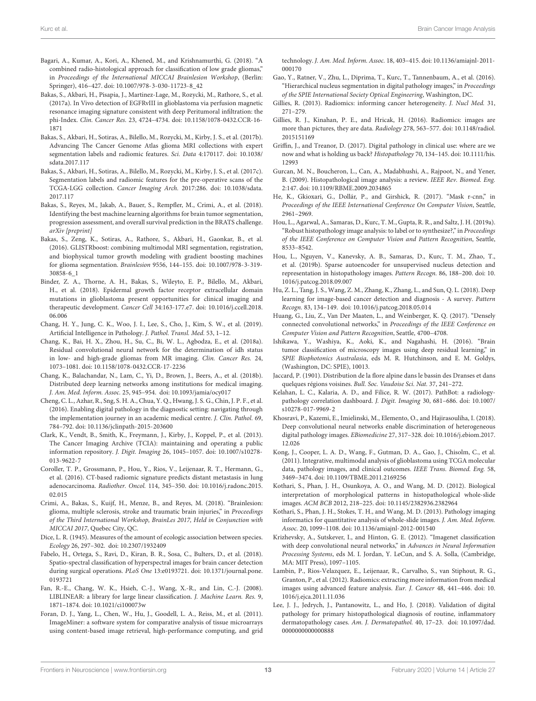- Bagari, A., Kumar, A., Kori, A., Khened, M., and Krishnamurthi, G. (2018). "A combined radio-histological approach for classification of low grade gliomas," in Proceedings of the International MICCAI Brainlesion Workshop, (Berlin: Springer), 416–427. doi: 10.1007/978-3-030-11723-8\_42
- Bakas, S., Akbari, H., Pisapia, J., Martinez-Lage, M., Rozycki, M., Rathore, S., et al. (2017a). In Vivo detection of EGFRvIII in glioblastoma via perfusion magnetic resonance imaging signature consistent with deep Peritumoral infiltration: the phi-Index. Clin. Cancer Res. 23, 4724–4734. doi: 10.1158/1078-0432.CCR-16- 1871
- Bakas, S., Akbari, H., Sotiras, A., Bilello, M., Rozycki, M., Kirby, J. S., et al. (2017b). Advancing The Cancer Genome Atlas glioma MRI collections with expert segmentation labels and radiomic features. Sci. Data 4:170117. doi: 10.1038/ sdata.2017.117
- Bakas, S., Akbari, H., Sotiras, A., Bilello, M., Rozycki, M., Kirby, J. S., et al. (2017c). Segmentation labels and radiomic features for the pre-operative scans of the TCGA-LGG collection. Cancer Imaging Arch. 2017:286. doi: 10.1038/sdata. 2017.117
- Bakas, S., Reyes, M., Jakab, A., Bauer, S., Rempfler, M., Crimi, A., et al. (2018). Identifying the best machine learning algorithms for brain tumor segmentation, progression assessment, and overall survival prediction in the BRATS challenge. arXiv [preprint]
- Bakas, S., Zeng, K., Sotiras, A., Rathore, S., Akbari, H., Gaonkar, B., et al. (2016). GLISTRboost: combining multimodal MRI segmentation, registration, and biophysical tumor growth modeling with gradient boosting machines for glioma segmentation. Brainlesion 9556, 144–155. doi: 10.1007/978-3-319- 30858-6\_1
- Binder, Z. A., Thorne, A. H., Bakas, S., Wileyto, E. P., Bilello, M., Akbari, H., et al. (2018). Epidermal growth factor receptor extracellular domain mutations in glioblastoma present opportunities for clinical imaging and therapeutic development. Cancer Cell 34:163-177.e7. doi: 10.1016/j.ccell.2018. 06.006
- Chang, H. Y., Jung, C. K., Woo, J. I., Lee, S., Cho, J., Kim, S. W., et al. (2019). Artificial Intelligence in Pathology. J. Pathol. Transl. Med. 53, 1–12.
- Chang, K., Bai, H. X., Zhou, H., Su, C., Bi, W. L., Agbodza, E., et al. (2018a). Residual convolutional neural network for the determination of idh status in low- and high-grade gliomas from MR imaging. Clin. Cancer Res. 24, 1073–1081. doi: 10.1158/1078-0432.CCR-17-2236
- Chang, K., Balachandar, N., Lam, C., Yi, D., Brown, J., Beers, A., et al. (2018b). Distributed deep learning networks among institutions for medical imaging. J. Am. Med. Inform. Assoc. 25, 945–954. doi: 10.1093/jamia/ocy017
- Cheng, C. L., Azhar, R., Sng, S. H. A., Chua, Y. Q., Hwang, J. S. G., Chin, J. P. F., et al. (2016). Enabling digital pathology in the diagnostic setting: navigating through the implementation journey in an academic medical centre. J. Clin. Pathol. 69, 784–792. doi: 10.1136/jclinpath-2015-203600
- Clark, K., Vendt, B., Smith, K., Freymann, J., Kirby, J., Koppel, P., et al. (2013). The Cancer Imaging Archive (TCIA): maintaining and operating a public information repository. J. Digit. Imaging 26, 1045–1057. doi: 10.1007/s10278- 013-9622-7
- Coroller, T. P., Grossmann, P., Hou, Y., Rios, V., Leijenaar, R. T., Hermann, G., et al. (2016). CT-based radiomic signature predicts distant metastasis in lung adenocarcinoma. Radiother. Oncol. 114, 345–350. doi: 10.1016/j.radonc.2015. 02.015
- Crimi, A., Bakas, S., Kuijf, H., Menze, B., and Reyes, M. (2018). "Brainlesion: glioma, multiple sclerosis, stroke and traumatic brain injuries," in Proceedings of the Third International Workshop, BrainLes 2017, Held in Conjunction with MICCAI 2017, Quebec City, QC.
- Dice, L. R. (1945). Measures of the amount of ecologic association between species. Ecology 26, 297–302. doi: 10.2307/1932409
- Fabelo, H., Ortega, S., Ravi, D., Kiran, B. R., Sosa, C., Bulters, D., et al. (2018). Spatio-spectral classification of hyperspectral images for brain cancer detection during surgical operations. PLoS One 13:e0193721. doi: 10.1371/journal.pone. 0193721
- Fan, R.-E., Chang, W. K., Hsieh, C.-J., Wang, X.-R., and Lin, C.-J. (2008). LIBLINEAR: a library for large linear classification. J. Machine Learn. Res. 9, 1871–1874. doi: 10.1021/ci100073w
- Foran, D. J., Yang, L., Chen, W., Hu, J., Goodell, L. A., Reiss, M., et al. (2011). ImageMiner: a software system for comparative analysis of tissue microarrays using content-based image retrieval, high-performance computing, and grid

technology. J. Am. Med. Inform. Assoc. 18, 403–415. doi: 10.1136/amiajnl-2011- 000170

- Gao, Y., Ratner, V., Zhu, L., Diprima, T., Kurc, T., Tannenbaum, A., et al. (2016). "Hierarchical nucleus segmentation in digital pathology images," in Proceedings of the SPIE International Society Optical Engineering, Washington, DC.
- Gillies, R. (2013). Radiomics: informing cancer heterogeneity. J. Nucl Med. 31, 271–279.
- Gillies, R. J., Kinahan, P. E., and Hricak, H. (2016). Radiomics: images are more than pictures, they are data. Radiology 278, 563–577. doi: 10.1148/radiol. 2015151169
- Griffin, J., and Treanor, D. (2017). Digital pathology in clinical use: where are we now and what is holding us back? Histopathology 70, 134–145. doi: 10.1111/his. 12993
- Gurcan, M. N., Boucheron, L., Can, A., Madabhushi, A., Rajpoot, N., and Yener, B. (2009). Histopathological image analysis: a review. IEEE Rev. Biomed. Eng. 2:147. doi: 10.1109/RBME.2009.2034865
- He, K., Gkioxari, G., Dollár, P., and Girshick, R. (2017). "Mask r-cnn," in Proceedings of the IEEE International Conference On Computer Vision, Seattle, 2961–2969.
- Hou, L., Agarwal, A., Samaras, D., Kurc, T. M., Gupta, R. R., and Saltz, J. H. (2019a). "Robust histopathology image analysis: to label or to synthesize?," in Proceedings of the IEEE Conference on Computer Vision and Pattern Recognition, Seattle, 8533–8542.
- Hou, L., Nguyen, V., Kanevsky, A. B., Samaras, D., Kurc, T. M., Zhao, T., et al. (2019b). Sparse autoencoder for unsupervised nucleus detection and representation in histopathology images. Pattern Recogn. 86, 188–200. doi: 10. 1016/j.patcog.2018.09.007
- Hu, Z. L., Tang, J. S., Wang, Z. M., Zhang, K., Zhang, L., and Sun, Q. L. (2018). Deep learning for image-based cancer detection and diagnosis - A survey. Pattern Recogn. 83, 134–149. doi: 10.1016/j.patcog.2018.05.014
- Huang, G., Liu, Z., Van Der Maaten, L., and Weinberger, K. Q. (2017). "Densely connected convolutional networks," in Proceedings of the IEEE Conference on Computer Vision and Pattern Recognition, Seattle, 4700–4708.
- Ishikawa, Y., Washiya, K., Aoki, K., and Nagahashi, H. (2016). "Brain tumor classification of microscopy images using deep residual learning," in SPIE Biophotonics Australasia, eds M. R. Hutchinson, and E. M. Goldys, (Washington, DC: SPIE), 10013.
- Jaccard, P. (1901). Distribution de la flore alpine dans le bassin des Dranses et dans quelques régions voisines. Bull. Soc. Vaudoise Sci. Nat. 37, 241–272.
- Kelahan, L. C., Kalaria, A. D., and Filice, R. W. (2017). PathBot: a radiologypathology correlation dashboard. J. Digit. Imaging 30, 681–686. doi: 10.1007/ s10278-017-9969-2
- Khosravi, P., Kazemi, E., Imielinski, M., Elemento, O., and Hajirasouliha, I. (2018). Deep convolutional neural networks enable discrimination of heterogeneous digital pathology images. EBiomedicine 27, 317–328. doi: 10.1016/j.ebiom.2017. 12.026
- Kong, J., Cooper, L. A. D., Wang, F., Gutman, D. A., Gao, J., Chisolm, C., et al. (2011). Integrative, multimodal analysis of glioblastoma using TCGA molecular data, pathology images, and clinical outcomes. IEEE Trans. Biomed. Eng. 58, 3469–3474. doi: 10.1109/TBME.2011.2169256
- Kothari, S., Phan, J. H., Osunkoya, A. O., and Wang, M. D. (2012). Biological interpretation of morphological patterns in histopathological whole-slide images. ACM BCB 2012, 218–225. doi: 10.1145/2382936.2382964
- Kothari, S., Phan, J. H., Stokes, T. H., and Wang, M. D. (2013). Pathology imaging informatics for quantitative analysis of whole-slide images. J. Am. Med. Inform. Assoc. 20, 1099–1108. doi: 10.1136/amiajnl-2012-001540
- Krizhevsky, A., Sutskever, I., and Hinton, G. E. (2012). "Imagenet classification with deep convolutional neural networks," in Advances in Neural Information Processing Systems, eds M. I. Jordan, Y. LeCun, and S. A. Solla, (Cambridge, MA: MIT Press), 1097–1105.
- Lambin, P., Rios-Velazquez, E., Leijenaar, R., Carvalho, S., van Stiphout, R. G., Granton, P., et al. (2012). Radiomics: extracting more information from medical images using advanced feature analysis. Eur. J. Cancer 48, 441–446. doi: 10. 1016/j.ejca.2011.11.036
- Lee, J. J., Jedrych, J., Pantanowitz, L., and Ho, J. (2018). Validation of digital pathology for primary histopathological diagnosis of routine, inflammatory dermatopathology cases. Am. J. Dermatopathol. 40, 17–23. doi: 10.1097/dad. 0000000000000888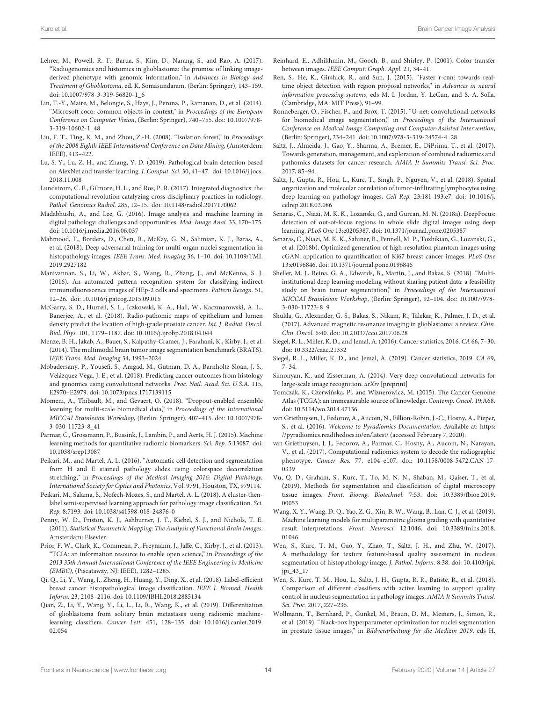- Lehrer, M., Powell, R. T., Barua, S., Kim, D., Narang, S., and Rao, A. (2017). "Radiogenomics and histomics in glioblastoma: the promise of linking imagederived phenotype with genomic information," in Advances in Biology and Treatment of Glioblastoma, ed. K. Somasundaram, (Berlin: Springer), 143–159. doi: 10.1007/978-3-319-56820-1\_6
- Lin, T.-Y., Maire, M., Belongie, S., Hays, J., Perona, P., Ramanan, D., et al. (2014). "Microsoft coco: common objects in context," in Proceedings of the European Conference on Computer Vision, (Berlin: Springer), 740–755. doi: 10.1007/978- 3-319-10602-1\_48
- Liu, F. T., Ting, K. M., and Zhou, Z.-H. (2008). "Isolation forest," in Proceedings of the 2008 Eighth IEEE International Conference on Data Mining, (Amsterdem: IEEE), 413–422.
- Lu, S. Y., Lu, Z. H., and Zhang, Y. D. (2019). Pathological brain detection based on AlexNet and transfer learning. J. Comput. Sci. 30, 41–47. doi: 10.1016/j.jocs. 2018.11.008
- Lundstrom, C. F., Gilmore, H. L., and Ros, P. R. (2017). Integrated diagnostics: the computational revolution catalyzing cross-disciplinary practices in radiology. Pathol. Genomics Radiol. 285, 12–15. doi: 10.1148/radiol.2017170062
- Madabhushi, A., and Lee, G. (2016). Image analysis and machine learning in digital pathology: challenges and opportunities. Med. Image Anal. 33, 170–175. doi: 10.1016/j.media.2016.06.037
- Mahmood, F., Borders, D., Chen, R., McKay, G. N., Salimian, K. J., Baras, A., et al. (2018). Deep adversarial training for multi-organ nuclei segmentation in histopathology images. IEEE Trans. Med. Imaging 36, 1–10. doi: 10.1109/TMI. 2019.2927182
- Manivannan, S., Li, W., Akbar, S., Wang, R., Zhang, J., and McKenna, S. J. (2016). An automated pattern recognition system for classifying indirect immunofluorescence images of HEp-2 cells and specimens. Pattern Recogn. 51, 12–26. doi: 10.1016/j.patcog.2015.09.015
- McGarry, S. D., Hurrell, S. L., Iczkowski, K. A., Hall, W., Kaczmarowski, A. L., Banerjee, A., et al. (2018). Radio-pathomic maps of epithelium and lumen density predict the location of high-grade prostate cancer. Int. J. Radiat. Oncol. Biol. Phys. 101, 1179–1187. doi: 10.1016/j.ijrobp.2018.04.044
- Menze, B. H., Jakab, A., Bauer, S., Kalpathy-Cramer, J., Farahani, K., Kirby, J., et al. (2014). The multimodal brain tumor image segmentation benchmark (BRATS). IEEE Trans. Med. Imaging 34, 1993–2024.
- Mobadersany, P., Yousefi, S., Amgad, M., Gutman, D. A., Barnholtz-Sloan, J. S., Velázquez Vega, J. E., et al. (2018). Predicting cancer outcomes from histology and genomics using convolutional networks. Proc. Natl. Acad. Sci. U.S.A. 115, E2970–E2979. doi: 10.1073/pnas.1717139115
- Momeni, A., Thibault, M., and Gevaert, O. (2018). "Dropout-enabled ensemble learning for multi-scale biomedical data," in Proceedings of the International MICCAI Brainlesion Workshop, (Berlin: Springer), 407–415. doi: 10.1007/978- 3-030-11723-8\_41
- Parmar, C., Grossmann, P., Bussink, J., Lambin, P., and Aerts, H. J. (2015). Machine learning methods for quantitative radiomic biomarkers. Sci. Rep. 5:13087. doi: 10.1038/srep13087
- Peikari, M., and Martel, A. L. (2016). "Automatic cell detection and segmentation from H and E stained pathology slides using colorspace decorrelation stretching," in Proceedings of the Medical Imaging 2016: Digital Pathology, International Society for Optics and Photonics, Vol. 9791, Houston, TX, 979114.
- Peikari, M., Salama, S., Nofech-Mozes, S., and Martel, A. L. (2018). A cluster-thenlabel semi-supervised learning approach for pathology image classification. Sci. Rep. 8:7193. doi: 10.1038/s41598-018-24876-0
- Penny, W. D., Friston, K. J., Ashburner, J. T., Kiebel, S. J., and Nichols, T. E. (2011). Statistical Parametric Mapping: The Analysis of Functional Brain Images. Amsterdam: Elsevier.
- Prior, F. W., Clark, K., Commean, P., Freymann, J., Jaffe, C., Kirby, J., et al. (2013). "TCIA: an information resource to enable open science," in Proceedings of the 2013 35th Annual International Conference of the IEEE Engineering in Medicine (EMBC), (Piscataway, NJ: IEEE), 1282–1285.
- Qi, Q., Li, Y., Wang, J., Zheng, H., Huang, Y., Ding, X., et al. (2018). Label-efficient breast cancer histopathological image classification. IEEE J. Biomed. Health Inform. 23, 2108–2116. doi: 10.1109/JBHI.2018.2885134
- Qian, Z., Li, Y., Wang, Y., Li, L., Li, R., Wang, K., et al. (2019). Differentiation of glioblastoma from solitary brain metastases using radiomic machinelearning classifiers. Cancer Lett. 451, 128–135. doi: 10.1016/j.canlet.2019. 02.054
- Reinhard, E., Adhikhmin, M., Gooch, B., and Shirley, P. (2001). Color transfer between images. IEEE Comput. Graph. Appl. 21, 34–41.
- Ren, S., He, K., Girshick, R., and Sun, J. (2015). "Faster r-cnn: towards realtime object detection with region proposal networks," in Advances in neural information processing systems, eds M. I. Jordan, Y. LeCun, and S. A. Solla, (Cambridge, MA: MIT Press), 91–99.
- Ronneberger, O., Fischer, P., and Brox, T. (2015). "U-net: convolutional networks for biomedical image segmentation," in Proceedings of the International Conference on Medical Image Computing and Computer-Assisted Intervention, (Berlin: Springer), 234–241. doi: 10.1007/978-3-319-24574-4\_28
- Saltz, J., Almeida, J., Gao, Y., Sharma, A., Bremer, E., DiPrima, T., et al. (2017). Towards generation, management, and exploration of combined radiomics and pathomics datasets for cancer research. AMIA Jt Summits Transl. Sci. Proc. 2017, 85–94.
- Saltz, J., Gupta, R., Hou, L., Kurc, T., Singh, P., Nguyen, V., et al. (2018). Spatial organization and molecular correlation of tumor-infiltrating lymphocytes using deep learning on pathology images. Cell Rep. 23:181-193.e7. doi: 10.1016/j. celrep.2018.03.086
- Senaras, C., Niazi, M. K. K., Lozanski, G., and Gurcan, M. N. (2018a). DeepFocus: detection of out-of-focus regions in whole slide digital images using deep learning. PLoS One 13:e0205387. doi: 10.1371/journal.pone.0205387
- Senaras, C., Niazi, M. K. K., Sahiner, B., Pennell, M. P., Tozbikian, G., Lozanski, G., et al. (2018b). Optimized generation of high-resolution phantom images using cGAN: application to quantification of Ki67 breast cancer images. PLoS One 13:e0196846. doi: 10.1371/journal.pone.0196846
- Sheller, M. J., Reina, G. A., Edwards, B., Martin, J., and Bakas, S. (2018). "Multiinstitutional deep learning modeling without sharing patient data: a feasibility study on brain tumor segmentation," in Proceedings of the International MICCAI Brainlesion Workshop, (Berlin: Springer), 92–104. doi: 10.1007/978- 3-030-11723-8\_9
- Shukla, G., Alexander, G. S., Bakas, S., Nikam, R., Talekar, K., Palmer, J. D., et al. (2017). Advanced magnetic resonance imaging in glioblastoma: a review. Chin. Clin. Oncol. 6:40. doi: 10.21037/cco.2017.06.28
- Siegel, R. L., Miller, K. D., and Jemal, A. (2016). Cancer statistics, 2016. CA 66, 7–30. doi: 10.3322/caac.21332
- Siegel, R. L., Miller, K. D., and Jemal, A. (2019). Cancer statistics, 2019. CA 69, 7–34.
- Simonyan, K., and Zisserman, A. (2014). Very deep convolutional networks for large-scale image recognition. arXiv [preprint]
- Tomczak, K., Czerwińska, P., and Wiznerowicz, M. (2015). The Cancer Genome Atlas (TCGA): an immeasurable source of knowledge. Contemp. Oncol. 19:A68. doi: 10.5114/wo.2014.47136
- van Griethuysen, J., Fedorov, A., Aucoin, N., Fillion-Robin, J.-C., Hosny, A., Pieper, S., et al. (2016). Welcome to Pyradiomics Documentation. Available at: https: //pyradiomics.readthedocs.io/en/latest/ (accessed February 7, 2020).
- van Griethuysen, J. J., Fedorov, A., Parmar, C., Hosny, A., Aucoin, N., Narayan, V., et al. (2017). Computational radiomics system to decode the radiographic phenotype. Cancer Res. 77, e104–e107. doi: 10.1158/0008-5472.CAN-17- 0339
- Vu, Q. D., Graham, S., Kurc, T., To, M. N. N., Shaban, M., Qaiser, T., et al. (2019). Methods for segmentation and classification of digital microscopy tissue images. Front. Bioeng. Biotechnol. 7:53. doi: 10.3389/fbioe.2019. 00053
- Wang, X. Y., Wang, D. Q., Yao, Z. G., Xin, B. W., Wang, B., Lan, C. J., et al. (2019). Machine learning models for multiparametric glioma grading with quantitative result interpretations. Front. Neurosci. 12:1046. doi: 10.3389/fnins.2018. 01046
- Wen, S., Kurc, T. M., Gao, Y., Zhao, T., Saltz, J. H., and Zhu, W. (2017). A methodology for texture feature-based quality assessment in nucleus segmentation of histopathology image. J. Pathol. Inform. 8:38. doi: 10.4103/jpi. jpi\_43\_17
- Wen, S., Kurc, T. M., Hou, L., Saltz, J. H., Gupta, R. R., Batiste, R., et al. (2018). Comparison of different classifiers with active learning to support quality control in nucleus segmentation in pathology images. AMIA Jt Summits Transl. Sci. Proc. 2017, 227–236.
- Wollmann, T., Bernhard, P., Gunkel, M., Braun, D. M., Meiners, J., Simon, R., et al. (2019). "Black-box hyperparameter optimization for nuclei segmentation in prostate tissue images," in Bildverarbeitung für die Medizin 2019, eds H.